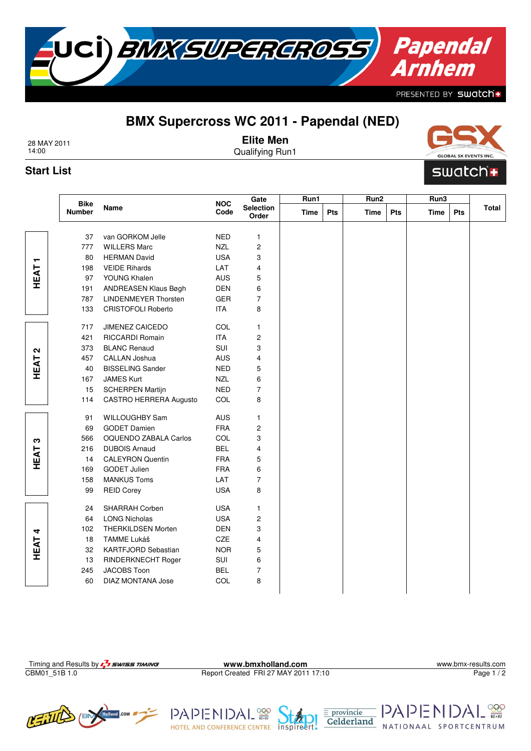## **BMX Supercross WC 2011 - Papendal (NED)**

UCÌ) *BMX SUPEREROSS* 

28 MAY 2011 14:00

**Elite Men**

Qualifying Run1

## **Start List**

|                   |                              | Name                        | <b>NOC</b><br>Code | Gate<br>Selection<br>Order | Run1        |            | Run <sub>2</sub> |     | Run3        |     |       |
|-------------------|------------------------------|-----------------------------|--------------------|----------------------------|-------------|------------|------------------|-----|-------------|-----|-------|
|                   | <b>Bike</b><br><b>Number</b> |                             |                    |                            | <b>Time</b> | <b>Pts</b> | <b>Time</b>      | Pts | <b>Time</b> | Pts | Total |
|                   | 37                           | van GORKOM Jelle            | <b>NED</b>         | 1                          |             |            |                  |     |             |     |       |
|                   | 777                          | <b>WILLERS Marc</b>         | <b>NZL</b>         | 2                          |             |            |                  |     |             |     |       |
| ┯                 | 80                           | <b>HERMAN David</b>         | <b>USA</b>         | 3                          |             |            |                  |     |             |     |       |
| HEAT              | 198                          | <b>VEIDE Rihards</b>        | LAT                | 4                          |             |            |                  |     |             |     |       |
|                   | 97                           | YOUNG Khalen                | AUS                | 5                          |             |            |                  |     |             |     |       |
|                   | 191                          | ANDREASEN Klaus Bøgh        | DEN                | 6                          |             |            |                  |     |             |     |       |
|                   | 787                          | <b>LINDENMEYER Thorsten</b> | GER                | 7                          |             |            |                  |     |             |     |       |
|                   | 133                          | <b>CRISTOFOLI Roberto</b>   | <b>ITA</b>         | 8                          |             |            |                  |     |             |     |       |
|                   | 717                          | JIMENEZ CAICEDO             | COL                | 1                          |             |            |                  |     |             |     |       |
|                   | 421                          | RICCARDI Romain             | <b>ITA</b>         | 2                          |             |            |                  |     |             |     |       |
| $\mathbf{\Omega}$ | 373                          | <b>BLANC Renaud</b>         | SUI                | 3                          |             |            |                  |     |             |     |       |
|                   | 457                          | <b>CALLAN Joshua</b>        | AUS                | 4                          |             |            |                  |     |             |     |       |
| HEAT              | 40                           | <b>BISSELING Sander</b>     | <b>NED</b>         | 5                          |             |            |                  |     |             |     |       |
|                   | 167                          | <b>JAMES Kurt</b>           | <b>NZL</b>         | 6                          |             |            |                  |     |             |     |       |
|                   | 15                           | <b>SCHERPEN Martijn</b>     | <b>NED</b>         | 7                          |             |            |                  |     |             |     |       |
|                   | 114                          | CASTRO HERRERA Augusto      | COL                | 8                          |             |            |                  |     |             |     |       |
|                   | 91                           | WILLOUGHBY Sam              | AUS                | 1                          |             |            |                  |     |             |     |       |
|                   | 69                           | <b>GODET Damien</b>         | <b>FRA</b>         | 2                          |             |            |                  |     |             |     |       |
| က                 | 566                          | OQUENDO ZABALA Carlos       | COL                | 3                          |             |            |                  |     |             |     |       |
|                   | 216                          | <b>DUBOIS Arnaud</b>        | <b>BEL</b>         | 4                          |             |            |                  |     |             |     |       |
| HEAT              | 14                           | <b>CALEYRON Quentin</b>     | <b>FRA</b>         | 5                          |             |            |                  |     |             |     |       |
|                   | 169                          | <b>GODET Julien</b>         | <b>FRA</b>         | 6                          |             |            |                  |     |             |     |       |
|                   | 158                          | <b>MANKUS Toms</b>          | LAT                | 7                          |             |            |                  |     |             |     |       |
|                   | 99                           | <b>REID Corey</b>           | <b>USA</b>         | 8                          |             |            |                  |     |             |     |       |
|                   | 24                           | SHARRAH Corben              | <b>USA</b>         | 1                          |             |            |                  |     |             |     |       |
|                   | 64                           | <b>LONG Nicholas</b>        | <b>USA</b>         | 2                          |             |            |                  |     |             |     |       |
| 4                 | 102                          | <b>THERKILDSEN Morten</b>   | <b>DEN</b>         | 3                          |             |            |                  |     |             |     |       |
| HEAT              | 18                           | TAMME Lukáš                 | CZE                | 4                          |             |            |                  |     |             |     |       |
|                   | 32                           | KARTFJORD Sebastian         | <b>NOR</b>         | 5                          |             |            |                  |     |             |     |       |
|                   | 13                           | RINDERKNECHT Roger          | SUI                | 6                          |             |            |                  |     |             |     |       |
|                   | 245                          | JACOBS Toon                 | <b>BEL</b>         | 7                          |             |            |                  |     |             |     |       |
|                   | 60                           | <b>DIAZ MONTANA Jose</b>    | COL                | 8                          |             |            |                  |     |             |     |       |

Report Created FRI 27 MAY 2011 17:10

HOTEL AND CONFERENCE CENTRE inspireert

PAPENI

Page 1/2